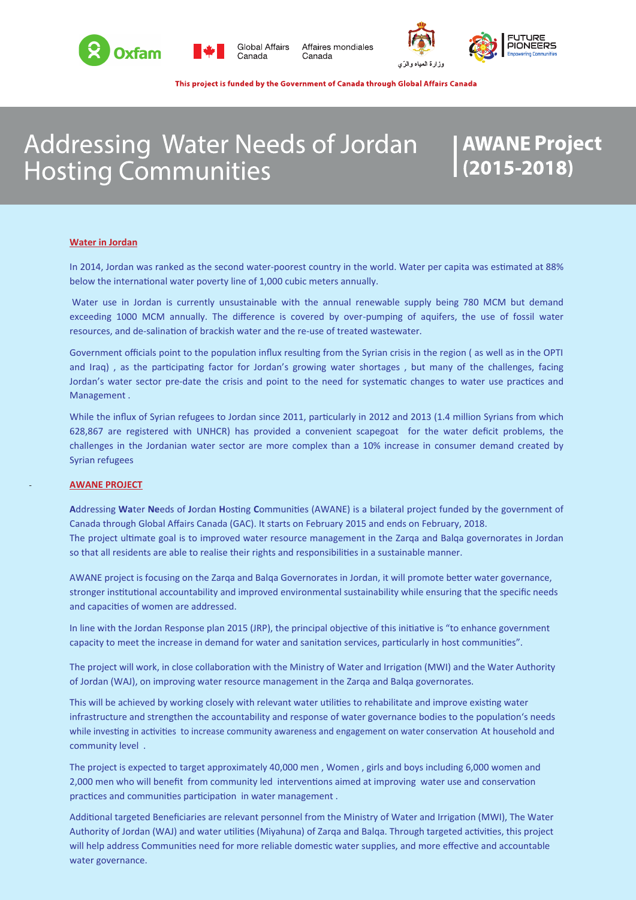



**Global Affairs** Canada

Affaires mondiales Canada





This project is funded by the Government of Canada through Global Affairs Canada

# Addressing Water Needs of Jordan **Hosting Communities**

# **AWANE Project<br>(2015-2<u>01</u>8)**

#### **Water in Jordan**

In 2014, Jordan was ranked as the second water-poorest country in the world. Water per capita was estimated at 88% below the international water poverty line of 1,000 cubic meters annually.

Water use in Jordan is currently unsustainable with the annual renewable supply being 780 MCM but demand exceeding 1000 MCM annually. The difference is covered by over-pumping of aquifers, the use of fossil water resources, and de-salination of brackish water and the re-use of treated wastewater.

Government officials point to the population influx resulting from the Syrian crisis in the region ( as well as in the OPTI and Iraq) , as the participating factor for Jordan's growing water shortages , but many of the challenges, facing Jordan's water sector pre-date the crisis and point to the need for systematic changes to water use practices and Management .

While the influx of Syrian refugees to Jordan since 2011, particularly in 2012 and 2013 (1.4 million Syrians from which 628,867 are registered with UNHCR) has provided a convenient scapegoat for the water deficit problems, the challenges in the Jordanian water sector are more complex than a 10% increase in consumer demand created by Syrian refugees

# **AWANE PROJECT**

**A**ddressing **Wa**ter **Ne**eds of **J**ordan **H**osting **C**ommunities (AWANE) is a bilateral project funded by the government of Canada through Global Affairs Canada (GAC). It starts on February 2015 and ends on February, 2018. The project ultimate goal is to improved water resource management in the Zarqa and Balqa governorates in Jordan so that all residents are able to realise their rights and responsibilities in a sustainable manner.

AWANE project is focusing on the Zarqa and Balqa Governorates in Jordan, it will promote better water governance, stronger institutional accountability and improved environmental sustainability while ensuring that the specific needs and capacities of women are addressed.

In line with the Jordan Response plan 2015 (JRP), the principal objective of this initiative is "to enhance government capacity to meet the increase in demand for water and sanitation services, particularly in host communities".

The project will work, in close collaboration with the Ministry of Water and Irrigation (MWI) and the Water Authority of Jordan (WAJ), on improving water resource management in the Zarqa and Balqa governorates.

This will be achieved by working closely with relevant water utilities to rehabilitate and improve existing water infrastructure and strengthen the accountability and response of water governance bodies to the population's needs while investing in activities to increase community awareness and engagement on water conservation At household and community level .

The project is expected to target approximately 40,000 men , Women , girls and boys including 6,000 women and 2,000 men who will benefit from community led interventions aimed at improving water use and conservation practices and communities participation in water management .

Additional targeted Beneficiaries are relevant personnel from the Ministry of Water and Irrigation (MWI), The Water Authority of Jordan (WAJ) and water utilities (Miyahuna) of Zarqa and Balqa. Through targeted activities, this project will help address Communities need for more reliable domestic water supplies, and more effective and accountable water governance.